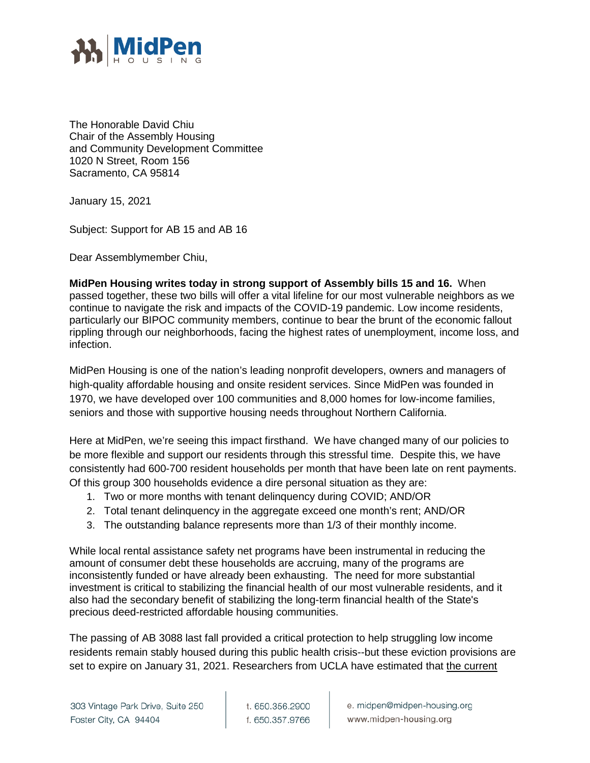

The Honorable David Chiu Chair of the Assembly Housing and Community Development Committee 1020 N Street, Room 156 Sacramento, CA 95814

January 15, 2021

Subject: Support for AB 15 and AB 16

Dear Assemblymember Chiu,

**MidPen Housing writes today in strong support of Assembly bills 15 and 16.** When passed together, these two bills will offer a vital lifeline for our most vulnerable neighbors as we continue to navigate the risk and impacts of the COVID-19 pandemic. Low income residents, particularly our BIPOC community members, continue to bear the brunt of the economic fallout rippling through our neighborhoods, facing the highest rates of unemployment, income loss, and infection.

MidPen Housing is one of the nation's leading nonprofit developers, owners and managers of high-quality affordable housing and onsite resident services. Since MidPen was founded in 1970, we have developed over 100 communities and 8,000 homes for low-income families, seniors and those with supportive housing needs throughout Northern California.

Here at MidPen, we're seeing this impact firsthand. We have changed many of our policies to be more flexible and support our residents through this stressful time. Despite this, we have consistently had 600-700 resident households per month that have been late on rent payments. Of this group 300 households evidence a dire personal situation as they are:

- 1. Two or more months with tenant delinquency during COVID; AND/OR
- 2. Total tenant delinquency in the aggregate exceed one month's rent; AND/OR
- 3. The outstanding balance represents more than 1/3 of their monthly income.

While local rental assistance safety net programs have been instrumental in reducing the amount of consumer debt these households are accruing, many of the programs are inconsistently funded or have already been exhausting. The need for more substantial investment is critical to stabilizing the financial health of our most vulnerable residents, and it also had the secondary benefit of stabilizing the long-term financial health of the State's precious deed-restricted affordable housing communities.

The passing of AB 3088 last fall provided a critical protection to help struggling low income residents remain stably housed during this public health crisis--but these eviction provisions are set to expire on January 31, 2021. Researchers from UCLA have estimated that the current